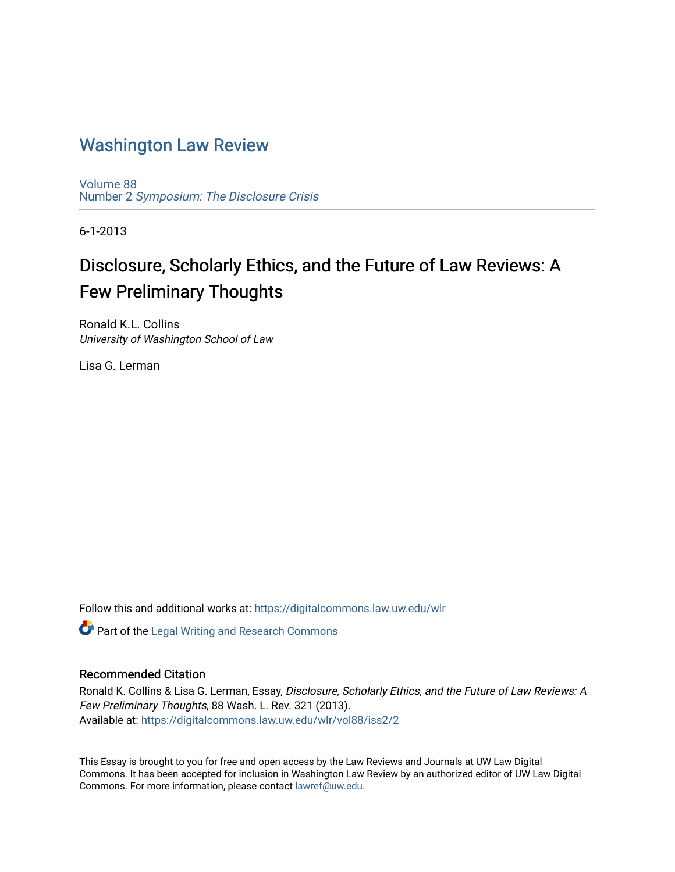# [Washington Law Review](https://digitalcommons.law.uw.edu/wlr)

[Volume 88](https://digitalcommons.law.uw.edu/wlr/vol88) Number 2 [Symposium: The Disclosure Crisis](https://digitalcommons.law.uw.edu/wlr/vol88/iss2) 

6-1-2013

# Disclosure, Scholarly Ethics, and the Future of Law Reviews: A Few Preliminary Thoughts

Ronald K.L. Collins University of Washington School of Law

Lisa G. Lerman

Follow this and additional works at: [https://digitalcommons.law.uw.edu/wlr](https://digitalcommons.law.uw.edu/wlr?utm_source=digitalcommons.law.uw.edu%2Fwlr%2Fvol88%2Fiss2%2F2&utm_medium=PDF&utm_campaign=PDFCoverPages)

Part of the [Legal Writing and Research Commons](http://network.bepress.com/hgg/discipline/614?utm_source=digitalcommons.law.uw.edu%2Fwlr%2Fvol88%2Fiss2%2F2&utm_medium=PDF&utm_campaign=PDFCoverPages) 

# Recommended Citation

Ronald K. Collins & Lisa G. Lerman, Essay, Disclosure, Scholarly Ethics, and the Future of Law Reviews: A Few Preliminary Thoughts, 88 Wash. L. Rev. 321 (2013). Available at: [https://digitalcommons.law.uw.edu/wlr/vol88/iss2/2](https://digitalcommons.law.uw.edu/wlr/vol88/iss2/2?utm_source=digitalcommons.law.uw.edu%2Fwlr%2Fvol88%2Fiss2%2F2&utm_medium=PDF&utm_campaign=PDFCoverPages)

This Essay is brought to you for free and open access by the Law Reviews and Journals at UW Law Digital Commons. It has been accepted for inclusion in Washington Law Review by an authorized editor of UW Law Digital Commons. For more information, please contact [lawref@uw.edu](mailto:lawref@uw.edu).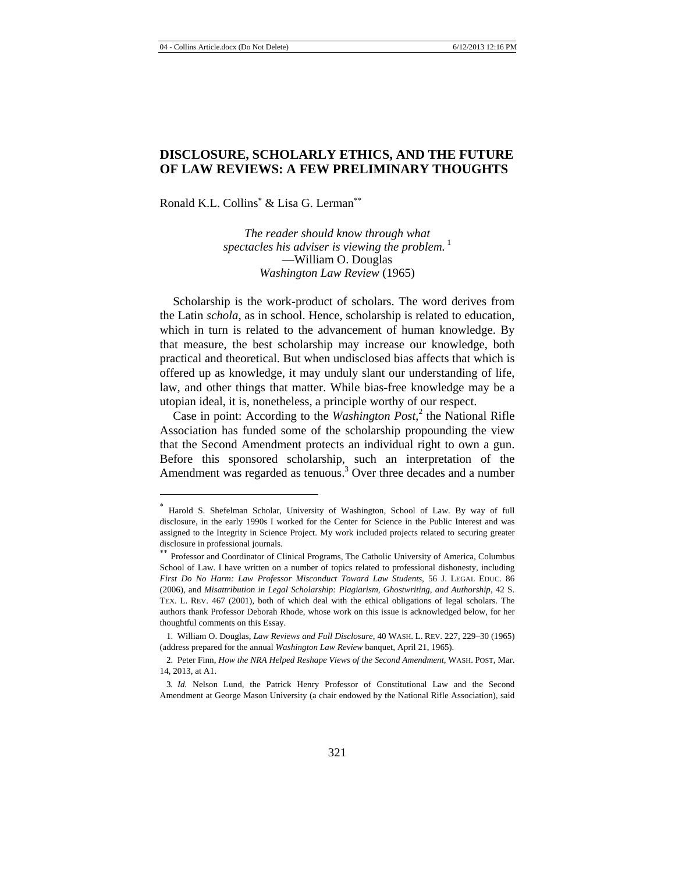## **DISCLOSURE, SCHOLARLY ETHICS, AND THE FUTURE OF LAW REVIEWS: A FEW PRELIMINARY THOUGHTS**

Ronald K.L. Collins & Lisa G. Lerman

*The reader should know through what spectacles his adviser is viewing the problem.* <sup>1</sup> —William O. Douglas *Washington Law Review* (1965)

Scholarship is the work-product of scholars. The word derives from the Latin *schola*, as in school. Hence, scholarship is related to education, which in turn is related to the advancement of human knowledge. By that measure, the best scholarship may increase our knowledge, both practical and theoretical. But when undisclosed bias affects that which is offered up as knowledge, it may unduly slant our understanding of life, law, and other things that matter. While bias-free knowledge may be a utopian ideal, it is, nonetheless, a principle worthy of our respect.

Case in point: According to the *Washington Post*<sup>2</sup> the National Rifle Association has funded some of the scholarship propounding the view that the Second Amendment protects an individual right to own a gun. Before this sponsored scholarship, such an interpretation of the Amendment was regarded as tenuous.<sup>3</sup> Over three decades and a number

<sup>\*</sup>  Harold S. Shefelman Scholar, University of Washington, School of Law. By way of full disclosure, in the early 1990s I worked for the Center for Science in the Public Interest and was assigned to the Integrity in Science Project. My work included projects related to securing greater disclosure in professional journals.

Professor and Coordinator of Clinical Programs, The Catholic University of America, Columbus School of Law. I have written on a number of topics related to professional dishonesty, including *First Do No Harm: Law Professor Misconduct Toward Law Students*, 56 J. LEGAL EDUC. 86 (2006), and *Misattribution in Legal Scholarship: Plagiarism, Ghostwriting, and Authorship*, 42 S. TEX. L. REV. 467 (2001), both of which deal with the ethical obligations of legal scholars. The authors thank Professor Deborah Rhode, whose work on this issue is acknowledged below, for her thoughtful comments on this Essay.

<sup>1.</sup> William O. Douglas, *Law Reviews and Full Disclosure*, 40 WASH. L. REV. 227, 229–30 (1965) (address prepared for the annual *Washington Law Review* banquet, April 21, 1965).

<sup>2.</sup> Peter Finn, *How the NRA Helped Reshape Views of the Second Amendment*, WASH. POST, Mar. 14, 2013, at A1.

<sup>3</sup>*. Id.* Nelson Lund, the Patrick Henry Professor of Constitutional Law and the Second Amendment at George Mason University (a chair endowed by the National Rifle Association), said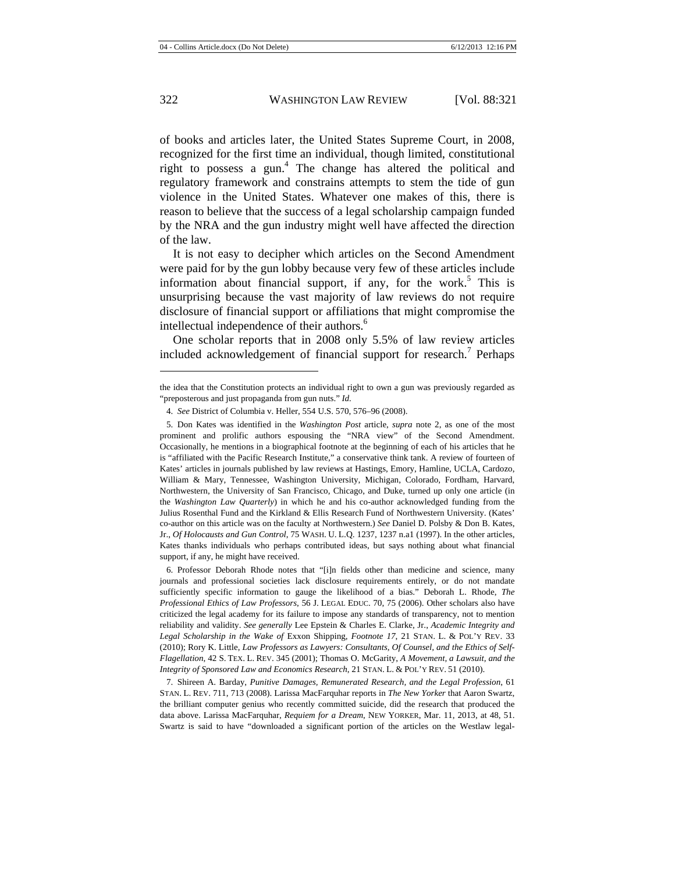of books and articles later, the United States Supreme Court, in 2008, recognized for the first time an individual, though limited, constitutional right to possess a gun.<sup>4</sup> The change has altered the political and regulatory framework and constrains attempts to stem the tide of gun violence in the United States. Whatever one makes of this, there is reason to believe that the success of a legal scholarship campaign funded by the NRA and the gun industry might well have affected the direction of the law.

It is not easy to decipher which articles on the Second Amendment were paid for by the gun lobby because very few of these articles include information about financial support, if any, for the work.<sup>5</sup> This is unsurprising because the vast majority of law reviews do not require disclosure of financial support or affiliations that might compromise the intellectual independence of their authors.<sup>6</sup>

One scholar reports that in 2008 only 5.5% of law review articles included acknowledgement of financial support for research.<sup>7</sup> Perhaps

the idea that the Constitution protects an individual right to own a gun was previously regarded as "preposterous and just propaganda from gun nuts." *Id.*

<sup>4.</sup> *See* District of Columbia v. Heller, 554 U.S. 570, 576–96 (2008).

<sup>5.</sup> Don Kates was identified in the *Washington Post* article, *supra* note 2, as one of the most prominent and prolific authors espousing the "NRA view" of the Second Amendment. Occasionally, he mentions in a biographical footnote at the beginning of each of his articles that he is "affiliated with the Pacific Research Institute," a conservative think tank. A review of fourteen of Kates' articles in journals published by law reviews at Hastings, Emory, Hamline, UCLA, Cardozo, William & Mary, Tennessee, Washington University, Michigan, Colorado, Fordham, Harvard, Northwestern, the University of San Francisco, Chicago, and Duke, turned up only one article (in the *Washington Law Quarterly*) in which he and his co-author acknowledged funding from the Julius Rosenthal Fund and the Kirkland & Ellis Research Fund of Northwestern University. (Kates' co-author on this article was on the faculty at Northwestern.) *See* Daniel D. Polsby & Don B. Kates, Jr., *Of Holocausts and Gun Control*, 75 WASH. U. L.Q. 1237, 1237 n.a1 (1997). In the other articles, Kates thanks individuals who perhaps contributed ideas, but says nothing about what financial support, if any, he might have received.

<sup>6.</sup> Professor Deborah Rhode notes that "[i]n fields other than medicine and science, many journals and professional societies lack disclosure requirements entirely, or do not mandate sufficiently specific information to gauge the likelihood of a bias." Deborah L. Rhode, *The Professional Ethics of Law Professors*, 56 J. LEGAL EDUC. 70, 75 (2006). Other scholars also have criticized the legal academy for its failure to impose any standards of transparency, not to mention reliability and validity. *See generally* Lee Epstein & Charles E. Clarke, Jr., *Academic Integrity and Legal Scholarship in the Wake of* Exxon Shipping, *Footnote 17*, 21 STAN. L. & POL'Y REV. 33 (2010); Rory K. Little, *Law Professors as Lawyers: Consultants, Of Counsel, and the Ethics of Self-Flagellation*, 42 S. TEX. L. REV. 345 (2001); Thomas O. McGarity, *A Movement, a Lawsuit, and the Integrity of Sponsored Law and Economics Research*, 21 STAN. L. & POL'Y REV. 51 (2010).

<sup>7.</sup> Shireen A. Barday, *Punitive Damages, Remunerated Research, and the Legal Profession*, 61 STAN. L. REV. 711, 713 (2008). Larissa MacFarquhar reports in *The New Yorker* that Aaron Swartz, the brilliant computer genius who recently committed suicide, did the research that produced the data above. Larissa MacFarquhar, *Requiem for a Dream*, NEW YORKER, Mar. 11, 2013, at 48, 51. Swartz is said to have "downloaded a significant portion of the articles on the Westlaw legal-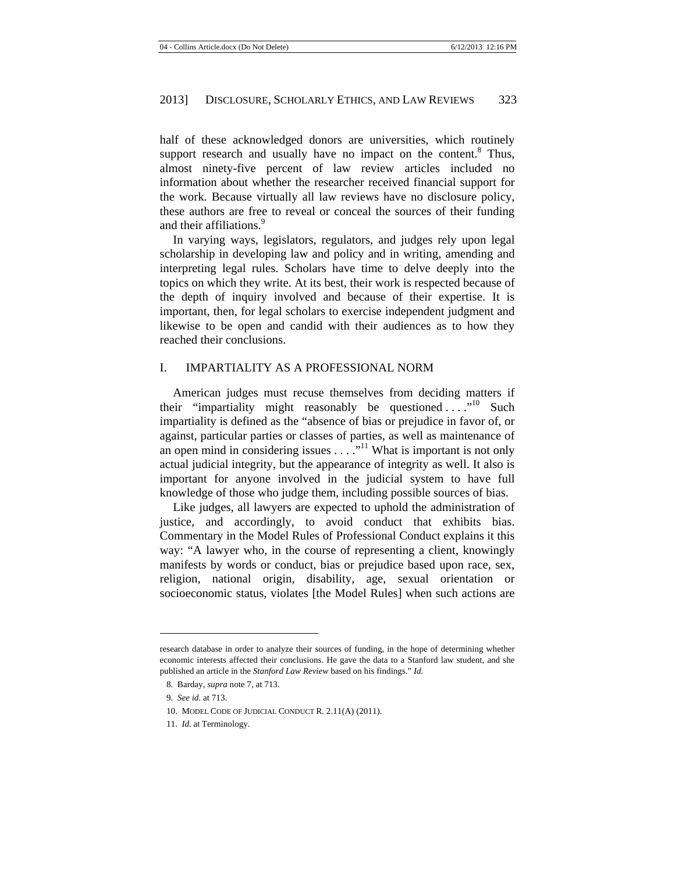half of these acknowledged donors are universities, which routinely support research and usually have no impact on the content.<sup>8</sup> Thus, almost ninety-five percent of law review articles included no information about whether the researcher received financial support for the work. Because virtually all law reviews have no disclosure policy, these authors are free to reveal or conceal the sources of their funding and their affiliations.<sup>9</sup>

In varying ways, legislators, regulators, and judges rely upon legal scholarship in developing law and policy and in writing, amending and interpreting legal rules. Scholars have time to delve deeply into the topics on which they write. At its best, their work is respected because of the depth of inquiry involved and because of their expertise. It is important, then, for legal scholars to exercise independent judgment and likewise to be open and candid with their audiences as to how they reached their conclusions.

### I. IMPARTIALITY AS A PROFESSIONAL NORM

American judges must recuse themselves from deciding matters if their "impartiality might reasonably be questioned ...."<sup>10</sup> Such impartiality is defined as the "absence of bias or prejudice in favor of, or against, particular parties or classes of parties, as well as maintenance of an open mind in considering issues  $\dots$  .  $11$  What is important is not only actual judicial integrity, but the appearance of integrity as well. It also is important for anyone involved in the judicial system to have full knowledge of those who judge them, including possible sources of bias.

Like judges, all lawyers are expected to uphold the administration of justice, and accordingly, to avoid conduct that exhibits bias. Commentary in the Model Rules of Professional Conduct explains it this way: "A lawyer who, in the course of representing a client, knowingly manifests by words or conduct, bias or prejudice based upon race, sex, religion, national origin, disability, age, sexual orientation or socioeconomic status, violates [the Model Rules] when such actions are

research database in order to analyze their sources of funding, in the hope of determining whether economic interests affected their conclusions. He gave the data to a Stanford law student, and she published an article in the *Stanford Law Review* based on his findings." *Id.*

<sup>8.</sup> Barday, *supra* note 7, at 713.

<sup>9.</sup> *See id.* at 713.

<sup>10.</sup> MODEL CODE OF JUDICIAL CONDUCT R. 2.11(A) (2011).

<sup>11.</sup> *Id.* at Terminology.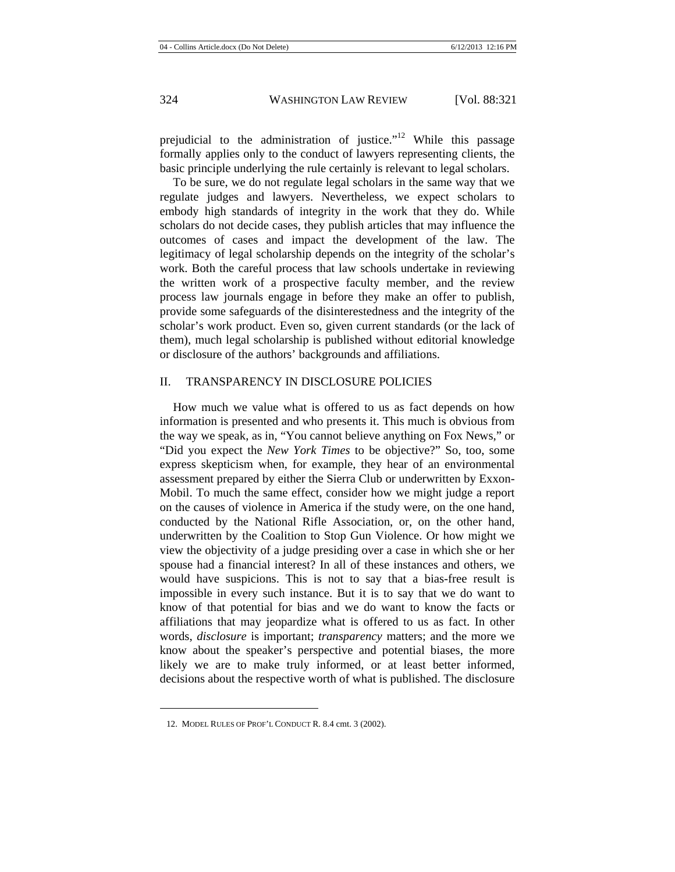prejudicial to the administration of justice."12 While this passage formally applies only to the conduct of lawyers representing clients, the basic principle underlying the rule certainly is relevant to legal scholars.

To be sure, we do not regulate legal scholars in the same way that we regulate judges and lawyers. Nevertheless, we expect scholars to embody high standards of integrity in the work that they do. While scholars do not decide cases, they publish articles that may influence the outcomes of cases and impact the development of the law. The legitimacy of legal scholarship depends on the integrity of the scholar's work. Both the careful process that law schools undertake in reviewing the written work of a prospective faculty member, and the review process law journals engage in before they make an offer to publish, provide some safeguards of the disinterestedness and the integrity of the scholar's work product. Even so, given current standards (or the lack of them), much legal scholarship is published without editorial knowledge or disclosure of the authors' backgrounds and affiliations.

#### II. TRANSPARENCY IN DISCLOSURE POLICIES

How much we value what is offered to us as fact depends on how information is presented and who presents it. This much is obvious from the way we speak, as in, "You cannot believe anything on Fox News," or "Did you expect the *New York Times* to be objective?" So, too, some express skepticism when, for example, they hear of an environmental assessment prepared by either the Sierra Club or underwritten by Exxon-Mobil. To much the same effect, consider how we might judge a report on the causes of violence in America if the study were, on the one hand, conducted by the National Rifle Association, or, on the other hand, underwritten by the Coalition to Stop Gun Violence. Or how might we view the objectivity of a judge presiding over a case in which she or her spouse had a financial interest? In all of these instances and others, we would have suspicions. This is not to say that a bias-free result is impossible in every such instance. But it is to say that we do want to know of that potential for bias and we do want to know the facts or affiliations that may jeopardize what is offered to us as fact. In other words, *disclosure* is important; *transparency* matters; and the more we know about the speaker's perspective and potential biases, the more likely we are to make truly informed, or at least better informed, decisions about the respective worth of what is published. The disclosure

<sup>12.</sup> MODEL RULES OF PROF'L CONDUCT R. 8.4 cmt. 3 (2002).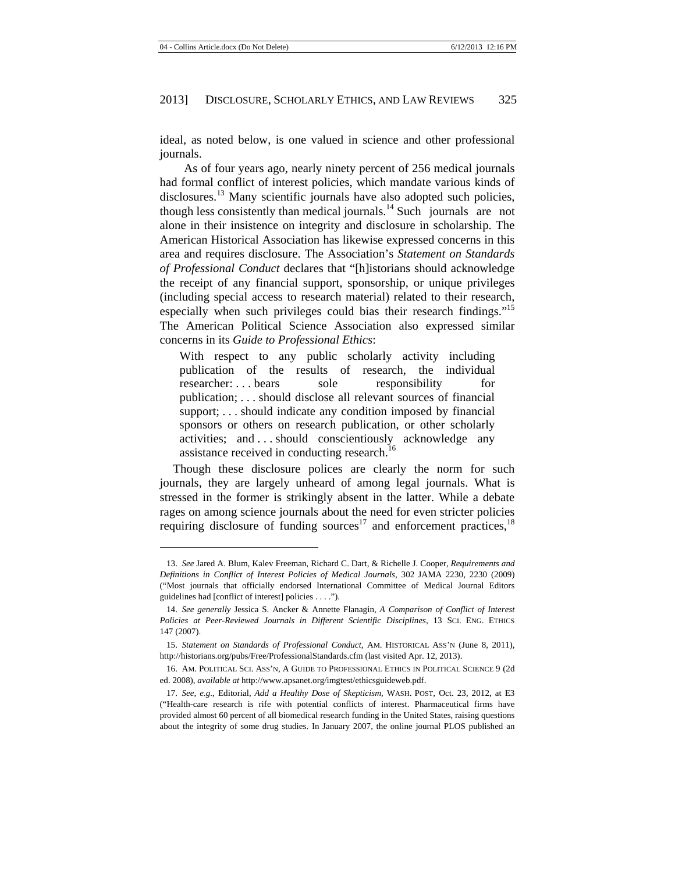ideal, as noted below, is one valued in science and other professional journals.

 As of four years ago, nearly ninety percent of 256 medical journals had formal conflict of interest policies, which mandate various kinds of disclosures.<sup>13</sup> Many scientific journals have also adopted such policies, though less consistently than medical journals.<sup>14</sup> Such journals are not alone in their insistence on integrity and disclosure in scholarship. The American Historical Association has likewise expressed concerns in this area and requires disclosure. The Association's *Statement on Standards of Professional Conduct* declares that "[h]istorians should acknowledge the receipt of any financial support, sponsorship, or unique privileges (including special access to research material) related to their research, especially when such privileges could bias their research findings."15 The American Political Science Association also expressed similar concerns in its *Guide to Professional Ethics*:

With respect to any public scholarly activity including publication of the results of research, the individual researcher: . . . bears sole responsibility for publication; . . . should disclose all relevant sources of financial support; ... should indicate any condition imposed by financial sponsors or others on research publication, or other scholarly activities; and . . . should conscientiously acknowledge any assistance received in conducting research.<sup>16</sup>

Though these disclosure polices are clearly the norm for such journals, they are largely unheard of among legal journals. What is stressed in the former is strikingly absent in the latter. While a debate rages on among science journals about the need for even stricter policies requiring disclosure of funding sources<sup>17</sup> and enforcement practices,<sup>18</sup>

<sup>13.</sup> *See* Jared A. Blum, Kalev Freeman, Richard C. Dart, & Richelle J. Cooper, *Requirements and Definitions in Conflict of Interest Policies of Medical Journals*, 302 JAMA 2230, 2230 (2009) ("Most journals that officially endorsed International Committee of Medical Journal Editors guidelines had [conflict of interest] policies . . . .").

<sup>14.</sup> *See generally* Jessica S. Ancker & Annette Flanagin, *A Comparison of Conflict of Interest Policies at Peer-Reviewed Journals in Different Scientific Disciplines*, 13 SCI. ENG. ETHICS 147 (2007).

<sup>15.</sup> *Statement on Standards of Professional Conduct*, AM. HISTORICAL ASS'N (June 8, 2011), http://historians.org/pubs/Free/ProfessionalStandards.cfm (last visited Apr. 12, 2013).

<sup>16.</sup> AM. POLITICAL SCI. ASS'N, A GUIDE TO PROFESSIONAL ETHICS IN POLITICAL SCIENCE 9 (2d ed. 2008), *available at* http://www.apsanet.org/imgtest/ethicsguideweb.pdf.

<sup>17.</sup> *See, e.g.*, Editorial, *Add a Healthy Dose of Skepticism*, WASH. POST, Oct. 23, 2012, at E3 ("Health-care research is rife with potential conflicts of interest. Pharmaceutical firms have provided almost 60 percent of all biomedical research funding in the United States, raising questions about the integrity of some drug studies. In January 2007, the online journal PLOS published an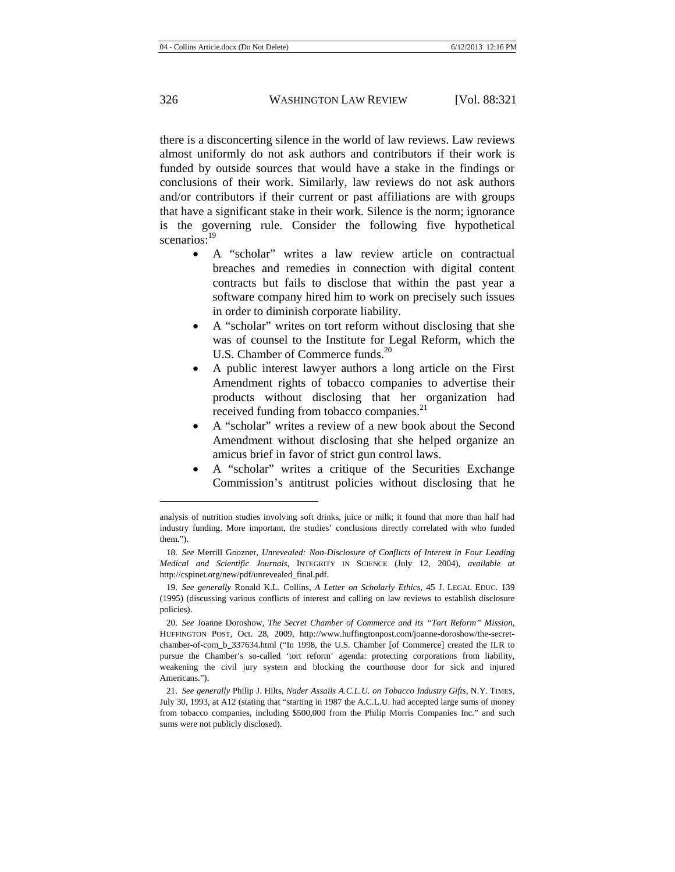there is a disconcerting silence in the world of law reviews. Law reviews almost uniformly do not ask authors and contributors if their work is funded by outside sources that would have a stake in the findings or conclusions of their work. Similarly, law reviews do not ask authors and/or contributors if their current or past affiliations are with groups that have a significant stake in their work. Silence is the norm; ignorance is the governing rule. Consider the following five hypothetical scenarios:<sup>19</sup>

- A "scholar" writes a law review article on contractual breaches and remedies in connection with digital content contracts but fails to disclose that within the past year a software company hired him to work on precisely such issues in order to diminish corporate liability.
- A "scholar" writes on tort reform without disclosing that she was of counsel to the Institute for Legal Reform, which the U.S. Chamber of Commerce funds.<sup>20</sup>
- A public interest lawyer authors a long article on the First Amendment rights of tobacco companies to advertise their products without disclosing that her organization had received funding from tobacco companies.<sup>21</sup>
- A "scholar" writes a review of a new book about the Second Amendment without disclosing that she helped organize an amicus brief in favor of strict gun control laws.
- A "scholar" writes a critique of the Securities Exchange Commission's antitrust policies without disclosing that he

analysis of nutrition studies involving soft drinks, juice or milk; it found that more than half had industry funding. More important, the studies' conclusions directly correlated with who funded them.").

<sup>18.</sup> *See* Merrill Goozner, *Unrevealed: Non-Disclosure of Conflicts of Interest in Four Leading Medical and Scientific Journals*, INTEGRITY IN SCIENCE (July 12, 2004), *available at*  http://cspinet.org/new/pdf/unrevealed\_final.pdf.

<sup>19.</sup> *See generally* Ronald K.L. Collins, *A Letter on Scholarly Ethics*, 45 J. LEGAL EDUC. 139 (1995) (discussing various conflicts of interest and calling on law reviews to establish disclosure policies).

<sup>20.</sup> *See* Joanne Doroshow, *The Secret Chamber of Commerce and its "Tort Reform" Mission*, HUFFINGTON POST, Oct. 28, 2009, http://www.huffingtonpost.com/joanne-doroshow/the-secretchamber-of-com\_b\_337634.html ("In 1998, the U.S. Chamber [of Commerce] created the ILR to pursue the Chamber's so-called 'tort reform' agenda: protecting corporations from liability, weakening the civil jury system and blocking the courthouse door for sick and injured Americans.").

<sup>21.</sup> *See generally* Philip J. Hilts, *Nader Assails A.C.L.U. on Tobacco Industry Gifts*, N.Y. TIMES, July 30, 1993, at A12 (stating that "starting in 1987 the A.C.L.U. had accepted large sums of money from tobacco companies, including \$500,000 from the Philip Morris Companies Inc." and such sums were not publicly disclosed).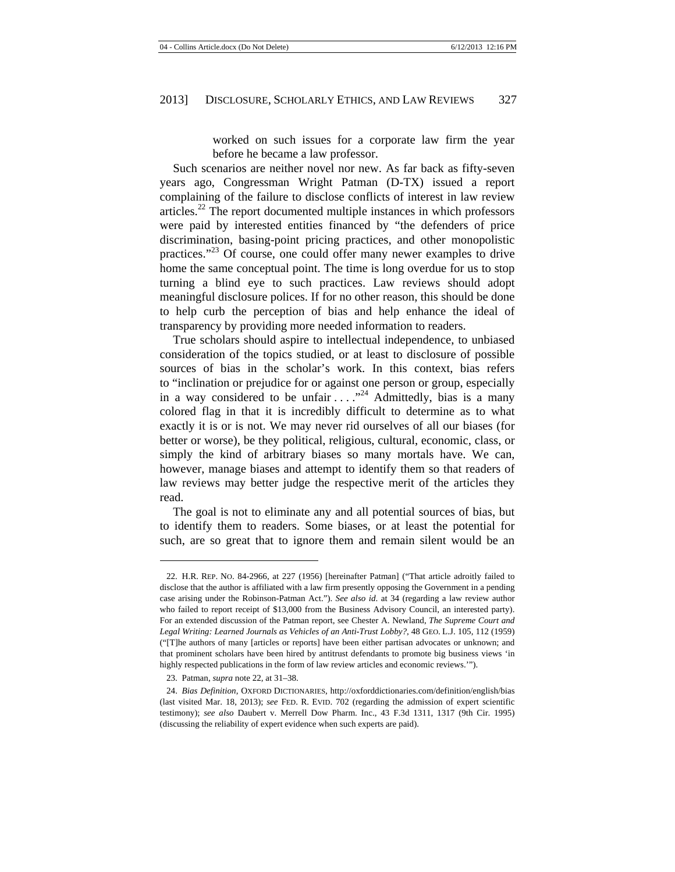worked on such issues for a corporate law firm the year before he became a law professor.

Such scenarios are neither novel nor new. As far back as fifty-seven years ago, Congressman Wright Patman (D-TX) issued a report complaining of the failure to disclose conflicts of interest in law review articles.<sup>22</sup> The report documented multiple instances in which professors were paid by interested entities financed by "the defenders of price discrimination, basing-point pricing practices, and other monopolistic practices."<sup>23</sup> Of course, one could offer many newer examples to drive home the same conceptual point. The time is long overdue for us to stop turning a blind eye to such practices. Law reviews should adopt meaningful disclosure polices. If for no other reason, this should be done to help curb the perception of bias and help enhance the ideal of transparency by providing more needed information to readers.

True scholars should aspire to intellectual independence, to unbiased consideration of the topics studied, or at least to disclosure of possible sources of bias in the scholar's work. In this context, bias refers to "inclination or prejudice for or against one person or group, especially in a way considered to be unfair  $\dots$   $^{24}$  Admittedly, bias is a many colored flag in that it is incredibly difficult to determine as to what exactly it is or is not. We may never rid ourselves of all our biases (for better or worse), be they political, religious, cultural, economic, class, or simply the kind of arbitrary biases so many mortals have. We can, however, manage biases and attempt to identify them so that readers of law reviews may better judge the respective merit of the articles they read.

The goal is not to eliminate any and all potential sources of bias, but to identify them to readers. Some biases, or at least the potential for such, are so great that to ignore them and remain silent would be an

<sup>22.</sup> H.R. REP. NO. 84-2966, at 227 (1956) [hereinafter Patman] ("That article adroitly failed to disclose that the author is affiliated with a law firm presently opposing the Government in a pending case arising under the Robinson-Patman Act."). *See also id*. at 34 (regarding a law review author who failed to report receipt of \$13,000 from the Business Advisory Council, an interested party). For an extended discussion of the Patman report, see Chester A. Newland, *The Supreme Court and Legal Writing: Learned Journals as Vehicles of an Anti-Trust Lobby?*, 48 GEO. L.J. 105, 112 (1959) ("[T]he authors of many [articles or reports] have been either partisan advocates or unknown; and that prominent scholars have been hired by antitrust defendants to promote big business views 'in highly respected publications in the form of law review articles and economic reviews.'").

<sup>23.</sup> Patman, *supra* note 22, at 31–38.

<sup>24.</sup> *Bias Definition*, OXFORD DICTIONARIES, http://oxforddictionaries.com/definition/english/bias (last visited Mar. 18, 2013); *see* FED. R. EVID. 702 (regarding the admission of expert scientific testimony); *see also* Daubert v. Merrell Dow Pharm. Inc., 43 F.3d 1311, 1317 (9th Cir. 1995) (discussing the reliability of expert evidence when such experts are paid).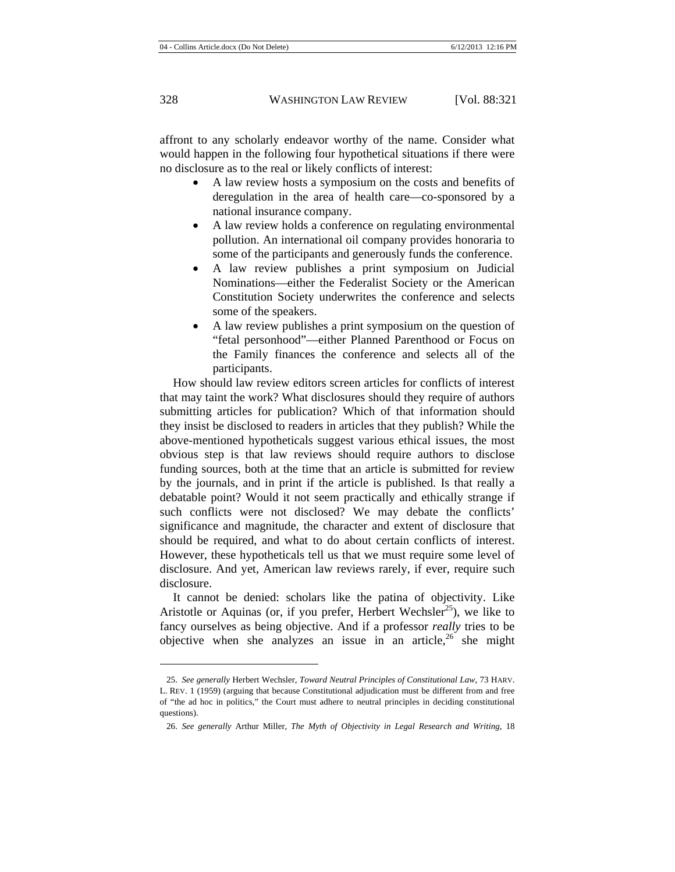affront to any scholarly endeavor worthy of the name. Consider what would happen in the following four hypothetical situations if there were no disclosure as to the real or likely conflicts of interest:

- A law review hosts a symposium on the costs and benefits of deregulation in the area of health care—co-sponsored by a national insurance company.
- A law review holds a conference on regulating environmental pollution. An international oil company provides honoraria to some of the participants and generously funds the conference.
- A law review publishes a print symposium on Judicial Nominations—either the Federalist Society or the American Constitution Society underwrites the conference and selects some of the speakers.
- A law review publishes a print symposium on the question of "fetal personhood"—either Planned Parenthood or Focus on the Family finances the conference and selects all of the participants.

How should law review editors screen articles for conflicts of interest that may taint the work? What disclosures should they require of authors submitting articles for publication? Which of that information should they insist be disclosed to readers in articles that they publish? While the above-mentioned hypotheticals suggest various ethical issues, the most obvious step is that law reviews should require authors to disclose funding sources, both at the time that an article is submitted for review by the journals, and in print if the article is published. Is that really a debatable point? Would it not seem practically and ethically strange if such conflicts were not disclosed? We may debate the conflicts' significance and magnitude, the character and extent of disclosure that should be required, and what to do about certain conflicts of interest. However, these hypotheticals tell us that we must require some level of disclosure. And yet, American law reviews rarely, if ever, require such disclosure.

It cannot be denied: scholars like the patina of objectivity. Like Aristotle or Aquinas (or, if you prefer, Herbert Wechsler<sup>25</sup>), we like to fancy ourselves as being objective. And if a professor *really* tries to be objective when she analyzes an issue in an article,<sup>26</sup> she might

26. *See generally* Arthur Miller, *The Myth of Objectivity in Legal Research and Writing*, 18

 $\overline{a}$ 

<sup>25.</sup> *See generally* Herbert Wechsler, *Toward Neutral Principles of Constitutional Law*, 73 HARV. L. REV. 1 (1959) (arguing that because Constitutional adjudication must be different from and free of "the ad hoc in politics," the Court must adhere to neutral principles in deciding constitutional questions).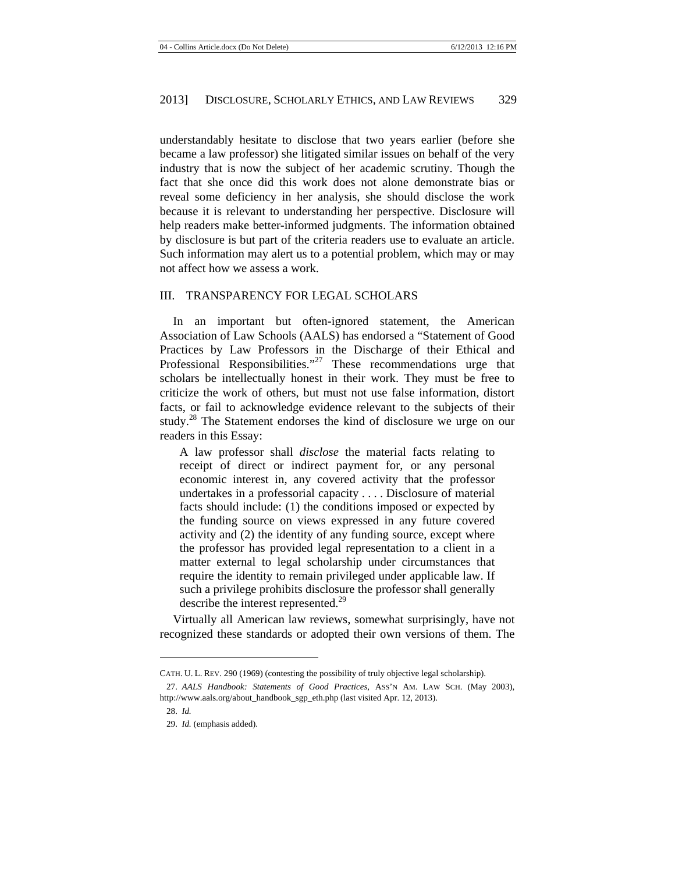understandably hesitate to disclose that two years earlier (before she became a law professor) she litigated similar issues on behalf of the very industry that is now the subject of her academic scrutiny. Though the fact that she once did this work does not alone demonstrate bias or reveal some deficiency in her analysis, she should disclose the work because it is relevant to understanding her perspective. Disclosure will help readers make better-informed judgments. The information obtained by disclosure is but part of the criteria readers use to evaluate an article. Such information may alert us to a potential problem, which may or may not affect how we assess a work.

#### III. TRANSPARENCY FOR LEGAL SCHOLARS

In an important but often-ignored statement, the American Association of Law Schools (AALS) has endorsed a "Statement of Good Practices by Law Professors in the Discharge of their Ethical and Professional Responsibilities."<sup>27</sup> These recommendations urge that scholars be intellectually honest in their work. They must be free to criticize the work of others, but must not use false information, distort facts, or fail to acknowledge evidence relevant to the subjects of their study.<sup>28</sup> The Statement endorses the kind of disclosure we urge on our readers in this Essay:

A law professor shall *disclose* the material facts relating to receipt of direct or indirect payment for, or any personal economic interest in, any covered activity that the professor undertakes in a professorial capacity . . . . Disclosure of material facts should include: (1) the conditions imposed or expected by the funding source on views expressed in any future covered activity and (2) the identity of any funding source, except where the professor has provided legal representation to a client in a matter external to legal scholarship under circumstances that require the identity to remain privileged under applicable law. If such a privilege prohibits disclosure the professor shall generally describe the interest represented.<sup>29</sup>

Virtually all American law reviews, somewhat surprisingly, have not recognized these standards or adopted their own versions of them. The

 $\overline{a}$ 

CATH. U. L. REV. 290 (1969) (contesting the possibility of truly objective legal scholarship).

<sup>27.</sup> *AALS Handbook: Statements of Good Practices*, ASS'N AM. LAW SCH. (May 2003), http://www.aals.org/about\_handbook\_sgp\_eth.php (last visited Apr. 12, 2013).

<sup>28.</sup> *Id.*

<sup>29.</sup> *Id.* (emphasis added).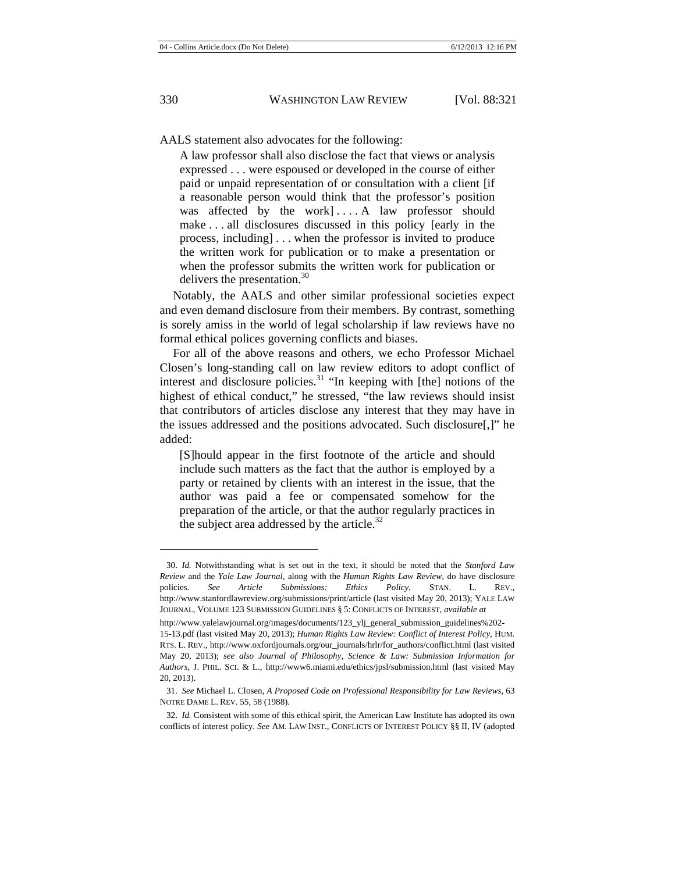AALS statement also advocates for the following:

A law professor shall also disclose the fact that views or analysis expressed . . . were espoused or developed in the course of either paid or unpaid representation of or consultation with a client [if a reasonable person would think that the professor's position was affected by the work]....A law professor should make . . . all disclosures discussed in this policy [early in the process, including] . . . when the professor is invited to produce the written work for publication or to make a presentation or when the professor submits the written work for publication or delivers the presentation.<sup>30</sup>

Notably, the AALS and other similar professional societies expect and even demand disclosure from their members. By contrast, something is sorely amiss in the world of legal scholarship if law reviews have no formal ethical polices governing conflicts and biases.

For all of the above reasons and others, we echo Professor Michael Closen's long-standing call on law review editors to adopt conflict of interest and disclosure policies.<sup>31</sup> "In keeping with  $[the]$  notions of the highest of ethical conduct," he stressed, "the law reviews should insist that contributors of articles disclose any interest that they may have in the issues addressed and the positions advocated. Such disclosure[,]" he added:

[S]hould appear in the first footnote of the article and should include such matters as the fact that the author is employed by a party or retained by clients with an interest in the issue, that the author was paid a fee or compensated somehow for the preparation of the article, or that the author regularly practices in the subject area addressed by the article. $32$ 

<sup>30.</sup> *Id.* Notwithstanding what is set out in the text, it should be noted that the *Stanford Law Review* and the *Yale Law Journal*, along with the *Human Rights Law Review*, do have disclosure policies. *See Article Submissions: Ethics Policy*, STAN. L. REV., http://www.stanfordlawreview.org/submissions/print/article (last visited May 20, 2013); YALE LAW JOURNAL, VOLUME 123 SUBMISSION GUIDELINES § 5: CONFLICTS OF INTEREST, *available at* 

http://www.yalelawjournal.org/images/documents/123\_ylj\_general\_submission\_guidelines%202- 15-13.pdf (last visited May 20, 2013); *Human Rights Law Review: Conflict of Interest Policy*, HUM. RTS. L. REV., http://www.oxfordjournals.org/our\_journals/hrlr/for\_authors/conflict.html (last visited May 20, 2013); *see also Journal of Philosophy, Science & Law: Submission Information for Authors*, J. PHIL. SCI. & L., http://www6.miami.edu/ethics/jpsl/submission.html (last visited May 20, 2013).

<sup>31.</sup> *See* Michael L. Closen, *A Proposed Code on Professional Responsibility for Law Reviews*, 63 NOTRE DAME L. REV. 55, 58 (1988).

<sup>32.</sup> *Id.* Consistent with some of this ethical spirit, the American Law Institute has adopted its own conflicts of interest policy. *See* AM. LAW INST., CONFLICTS OF INTEREST POLICY §§ II, IV (adopted